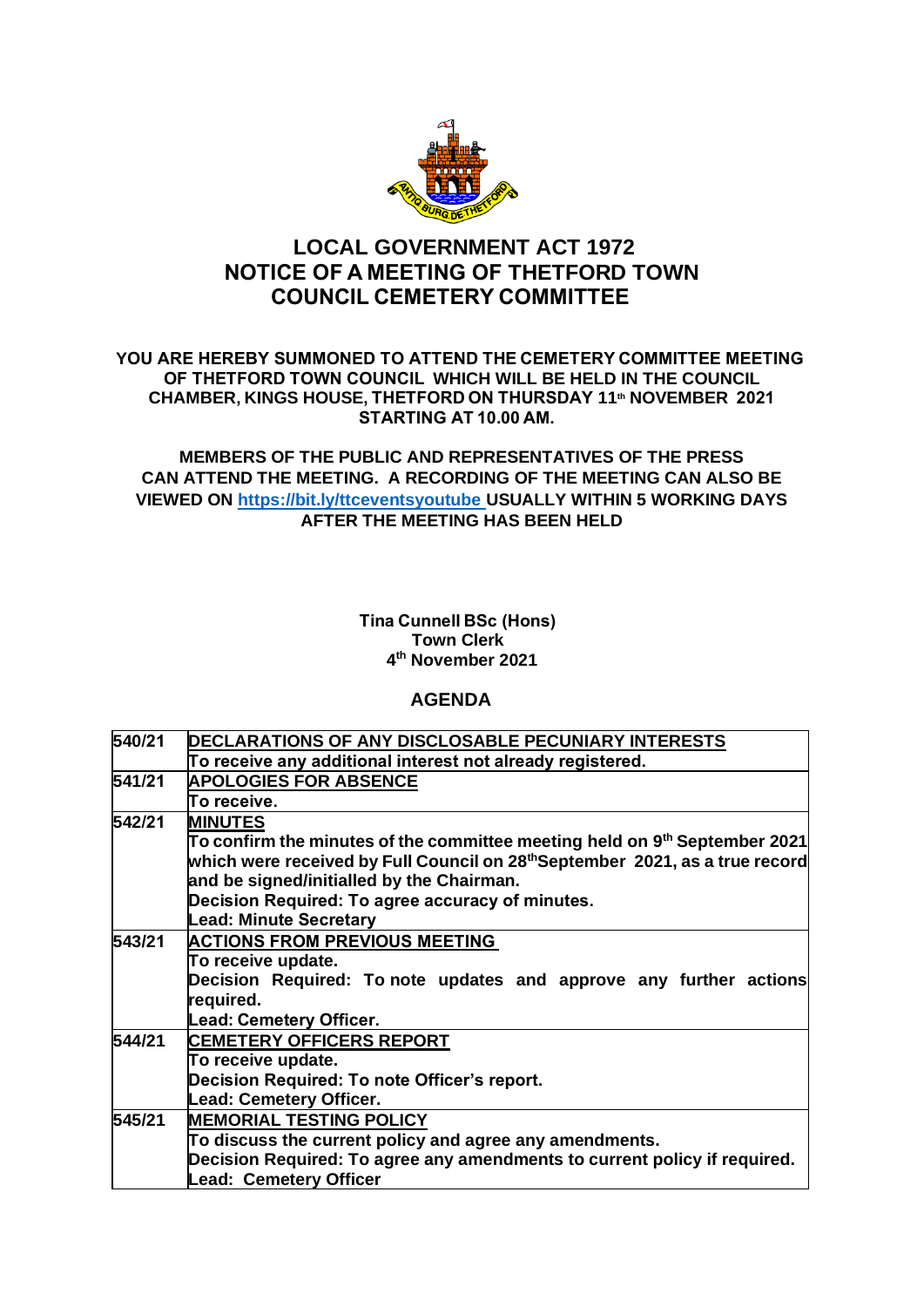

# **LOCAL GOVERNMENT ACT 1972 NOTICE OF A MEETING OF THETFORD TOWN COUNCIL CEMETERY COMMITTEE**

### **YOU ARE HEREBY SUMMONED TO ATTEND THE CEMETERY COMMITTEE MEETING  OF THETFORD TOWN COUNCIL  WHICH WILL BE HELD IN THE COUNCIL CHAMBER, KINGS HOUSE, THETFORD ON THURSDAY 11th NOVEMBER  2021 STARTING AT 10.00 AM.**

## **MEMBERS OF THE PUBLIC AND REPRESENTATIVES OF THE PRESS CAN ATTEND THE MEETING. A RECORDING OF THE MEETING CAN ALSO BE VIEWED ON [https://bit.ly/ttceventsyoutube USUALLY](https://bit.ly/ttceventsyoutube%C2%A0USUALLY) WITHIN 5 WORKING DAYS AFTER THE MEETING HAS BEEN HELD**

#### **Tina Cunnell BSc (Hons) Town Clerk 4 th November 2021**

## **AGENDA**

| 540/21<br>DECLARATIONS OF ANY DISCLOSABLE PECUNIARY INTERESTS<br>To receive any additional interest not already registered.<br><b>APOLOGIES FOR ABSENCE</b><br>To receive.<br><b>MINUTES</b><br>and be signed/initialled by the Chairman.<br>Decision Required: To agree accuracy of minutes.<br><b>Lead: Minute Secretary</b><br><b>ACTIONS FROM PREVIOUS MEETING</b><br>To receive update.<br>required.<br>Lead: Cemetery Officer.<br><b>CEMETERY OFFICERS REPORT</b><br>To receive update.<br>Decision Required: To note Officer's report.<br><b>Lead: Cemetery Officer.</b><br>545/21<br><b>MEMORIAL TESTING POLICY</b><br>To discuss the current policy and agree any amendments.<br><b>Lead: Cemetery Officer</b> |        |                                                                                          |
|-------------------------------------------------------------------------------------------------------------------------------------------------------------------------------------------------------------------------------------------------------------------------------------------------------------------------------------------------------------------------------------------------------------------------------------------------------------------------------------------------------------------------------------------------------------------------------------------------------------------------------------------------------------------------------------------------------------------------|--------|------------------------------------------------------------------------------------------|
|                                                                                                                                                                                                                                                                                                                                                                                                                                                                                                                                                                                                                                                                                                                         |        |                                                                                          |
|                                                                                                                                                                                                                                                                                                                                                                                                                                                                                                                                                                                                                                                                                                                         |        |                                                                                          |
|                                                                                                                                                                                                                                                                                                                                                                                                                                                                                                                                                                                                                                                                                                                         | 541/21 |                                                                                          |
|                                                                                                                                                                                                                                                                                                                                                                                                                                                                                                                                                                                                                                                                                                                         |        |                                                                                          |
|                                                                                                                                                                                                                                                                                                                                                                                                                                                                                                                                                                                                                                                                                                                         | 542/21 |                                                                                          |
|                                                                                                                                                                                                                                                                                                                                                                                                                                                                                                                                                                                                                                                                                                                         |        | To confirm the minutes of the committee meeting held on 9 <sup>th</sup> September 2021   |
|                                                                                                                                                                                                                                                                                                                                                                                                                                                                                                                                                                                                                                                                                                                         |        | which were received by Full Council on 28 <sup>th</sup> September 2021, as a true record |
|                                                                                                                                                                                                                                                                                                                                                                                                                                                                                                                                                                                                                                                                                                                         |        |                                                                                          |
|                                                                                                                                                                                                                                                                                                                                                                                                                                                                                                                                                                                                                                                                                                                         |        |                                                                                          |
|                                                                                                                                                                                                                                                                                                                                                                                                                                                                                                                                                                                                                                                                                                                         |        |                                                                                          |
|                                                                                                                                                                                                                                                                                                                                                                                                                                                                                                                                                                                                                                                                                                                         | 543/21 |                                                                                          |
|                                                                                                                                                                                                                                                                                                                                                                                                                                                                                                                                                                                                                                                                                                                         |        |                                                                                          |
|                                                                                                                                                                                                                                                                                                                                                                                                                                                                                                                                                                                                                                                                                                                         |        | Decision Required: To note updates and approve any further actions                       |
|                                                                                                                                                                                                                                                                                                                                                                                                                                                                                                                                                                                                                                                                                                                         |        |                                                                                          |
|                                                                                                                                                                                                                                                                                                                                                                                                                                                                                                                                                                                                                                                                                                                         |        |                                                                                          |
|                                                                                                                                                                                                                                                                                                                                                                                                                                                                                                                                                                                                                                                                                                                         | 544/21 |                                                                                          |
|                                                                                                                                                                                                                                                                                                                                                                                                                                                                                                                                                                                                                                                                                                                         |        |                                                                                          |
|                                                                                                                                                                                                                                                                                                                                                                                                                                                                                                                                                                                                                                                                                                                         |        |                                                                                          |
|                                                                                                                                                                                                                                                                                                                                                                                                                                                                                                                                                                                                                                                                                                                         |        |                                                                                          |
|                                                                                                                                                                                                                                                                                                                                                                                                                                                                                                                                                                                                                                                                                                                         |        |                                                                                          |
|                                                                                                                                                                                                                                                                                                                                                                                                                                                                                                                                                                                                                                                                                                                         |        |                                                                                          |
|                                                                                                                                                                                                                                                                                                                                                                                                                                                                                                                                                                                                                                                                                                                         |        | Decision Required: To agree any amendments to current policy if required.                |
|                                                                                                                                                                                                                                                                                                                                                                                                                                                                                                                                                                                                                                                                                                                         |        |                                                                                          |